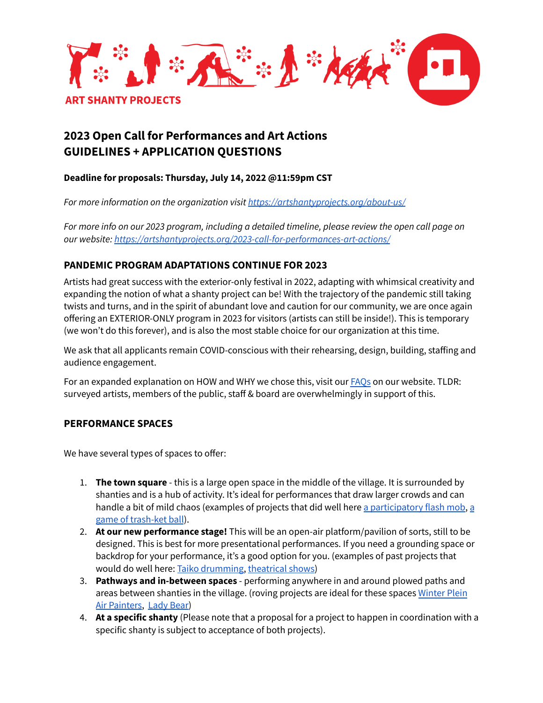

# **2023 Open Call for Performances and Art Actions GUIDELINES + APPLICATION QUESTIONS**

# **Deadline for proposals: Thursday, July 14, 2022 @11:59pm CST**

*For more information on the organization visit <https://artshantyprojects.org/about-us/>*

For more info on our 2023 program, including a detailed timeline, please review the open call page on *our website: <https://artshantyprojects.org/2023-call-for-performances-art-actions/>*

# **PANDEMIC PROGRAM ADAPTATIONS CONTINUE FOR 2023**

Artists had great success with the exterior-only festival in 2022, adapting with whimsical creativity and expanding the notion of what a shanty project can be! With the trajectory of the pandemic still taking twists and turns, and in the spirit of abundant love and caution for our community, we are once again offering an EXTERIOR-ONLY program in 2023 for visitors (artists can still be inside!). This is temporary (we won't do this forever), and is also the most stable choice for our organization at this time.

We ask that all applicants remain COVID-conscious with their rehearsing, design, building, staffing and audience engagement.

For an expanded explanation on HOW and WHY we chose this, visit our [FAQs](https://artshantyprojects.org/2023-open-call-faqs/) on our website. TLDR: surveyed artists, members of the public, staff & board are overwhelmingly in support of this.

# **PERFORMANCE SPACES**

We have several types of spaces to offer:

- 1. **The town square** this is a large open space in the middle of the village. It is surrounded by shanties and is a hub of activity. It's ideal for performances that draw larger crowds and can handle a bit of mild chaos (examples of projects that did well here a [participatory](https://artshantyprojects.org/portfolio/pollinator-flash-mob/) fl[a](https://artshantyprojects.org/portfolio/trash-ket-ball/)sh mob, a game of [trash-ket](https://artshantyprojects.org/portfolio/trash-ket-ball/) ball).
- 2. **At our new performance stage!** This will be an open-air platform/pavilion of sorts, still to be designed. This is best for more presentational performances. If you need a grounding space or backdrop for your performance, it's a good option for you. (examples of past projects that would do well here: Taiko [drumming,](https://artshantyprojects.org/portfolio/taiko-arts-midwest/) [theatrical](https://artshantyprojects.org/portfolio/house-the-weather/) shows)
- 3. **Pathways and in-between spaces** performing anywhere in and around plowed paths and areas between shanties in the village. (roving projects are ideal for these spaces [Winter](https://artshantyprojects.org/portfolio/color-harmony-by-winter-plein-air-painters/) Plein Air [Painters](https://artshantyprojects.org/portfolio/color-harmony-by-winter-plein-air-painters/), [Lady](https://artshantyprojects.org/portfolio/lady-bear-returns/) Bear)
- 4. **At a specific shanty** (Please note that a proposal for a project to happen in coordination with a specific shanty is subject to acceptance of both projects).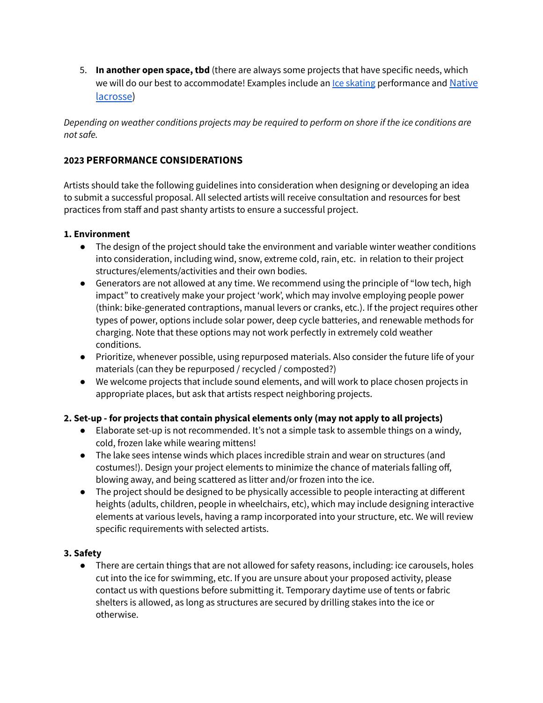5. **In another open space, tbd** (there are always some projects that have specific needs, which we will do our best to accommodate! Examples include an lce [skating](https://artshantyprojects.org/portfolio/skate-the-village/) performance and [Native](https://artshantyprojects.org/portfolio/thakapsicapi/) [lacrosse](https://artshantyprojects.org/portfolio/thakapsicapi/))

*Depending on weather conditions projects may be required to perform on shore if the ice conditions are not safe.*

# **2023 PERFORMANCE CONSIDERATIONS**

Artists should take the following guidelines into consideration when designing or developing an idea to submit a successful proposal. All selected artists will receive consultation and resources for best practices from staff and past shanty artists to ensure a successful project.

#### **1. Environment**

- The design of the project should take the environment and variable winter weather conditions into consideration, including wind, snow, extreme cold, rain, etc. in relation to their project structures/elements/activities and their own bodies.
- Generators are not allowed at any time. We recommend using the principle of "low tech, high impact" to creatively make your project 'work', which may involve employing people power (think: bike-generated contraptions, manual levers or cranks, etc.). If the project requires other types of power, options include solar power, deep cycle batteries, and renewable methods for charging. Note that these options may not work perfectly in extremely cold weather conditions.
- Prioritize, whenever possible, using repurposed materials. Also consider the future life of your materials (can they be repurposed / recycled / composted?)
- We welcome projects that include sound elements, and will work to place chosen projects in appropriate places, but ask that artists respect neighboring projects.

### **2. Set-up - for projects that contain physical elements only (may not apply to all projects)**

- Elaborate set-up is not recommended. It's not a simple task to assemble things on a windy, cold, frozen lake while wearing mittens!
- The lake sees intense winds which places incredible strain and wear on structures (and costumes!). Design your project elements to minimize the chance of materials falling off, blowing away, and being scattered as litter and/or frozen into the ice.
- The project should be designed to be physically accessible to people interacting at different heights (adults, children, people in wheelchairs, etc), which may include designing interactive elements at various levels, having a ramp incorporated into your structure, etc. We will review specific requirements with selected artists.

### **3. Safety**

● There are certain things that are not allowed for safety reasons, including: ice carousels, holes cut into the ice for swimming, etc. If you are unsure about your proposed activity, please contact us with questions before submitting it. Temporary daytime use of tents or fabric shelters is allowed, as long as structures are secured by drilling stakes into the ice or otherwise.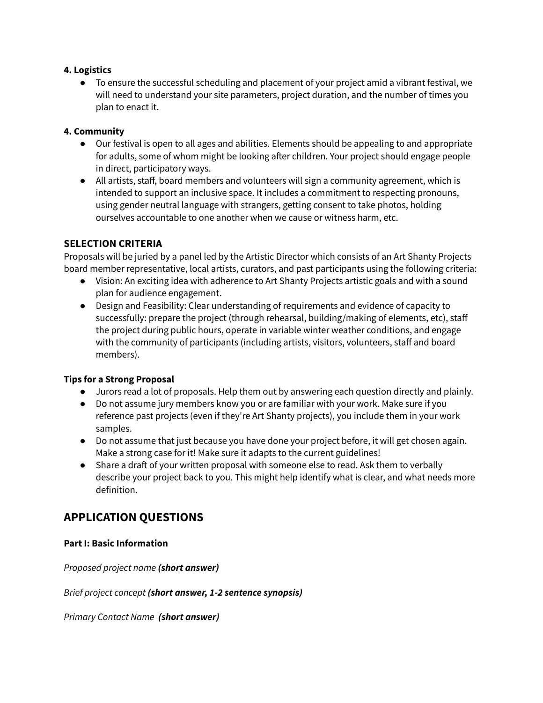### **4. Logistics**

● To ensure the successful scheduling and placement of your project amid a vibrant festival, we will need to understand your site parameters, project duration, and the number of times you plan to enact it.

### **4. Community**

- Our festival is open to all ages and abilities. Elements should be appealing to and appropriate for adults, some of whom might be looking after children. Your project should engage people in direct, participatory ways.
- All artists, staff, board members and volunteers will sign a community agreement, which is intended to support an inclusive space. It includes a commitment to respecting pronouns, using gender neutral language with strangers, getting consent to take photos, holding ourselves accountable to one another when we cause or witness harm, etc.

# **SELECTION CRITERIA**

Proposals will be juried by a panel led by the Artistic Director which consists of an Art Shanty Projects board member representative, local artists, curators, and past participants using the following criteria:

- Vision: An exciting idea with adherence to Art Shanty Projects artistic goals and with a sound plan for audience engagement.
- Design and Feasibility: Clear understanding of requirements and evidence of capacity to successfully: prepare the project (through rehearsal, building/making of elements, etc), staff the project during public hours, operate in variable winter weather conditions, and engage with the community of participants (including artists, visitors, volunteers, staff and board members).

### **Tips for a Strong Proposal**

- Jurors read a lot of proposals. Help them out by answering each question directly and plainly.
- Do not assume jury members know you or are familiar with your work. Make sure if you reference past projects (even if they're Art Shanty projects), you include them in your work samples.
- Do not assume that just because you have done your project before, it will get chosen again. Make a strong case for it! Make sure it adapts to the current guidelines!
- Share a draft of your written proposal with someone else to read. Ask them to verbally describe your project back to you. This might help identify what is clear, and what needs more definition.

# **APPLICATION QUESTIONS**

#### **Part I: Basic Information**

*Proposed project name (short answer)*

*Brief project concept (short answer, 1-2 sentence synopsis)*

*Primary Contact Name (short answer)*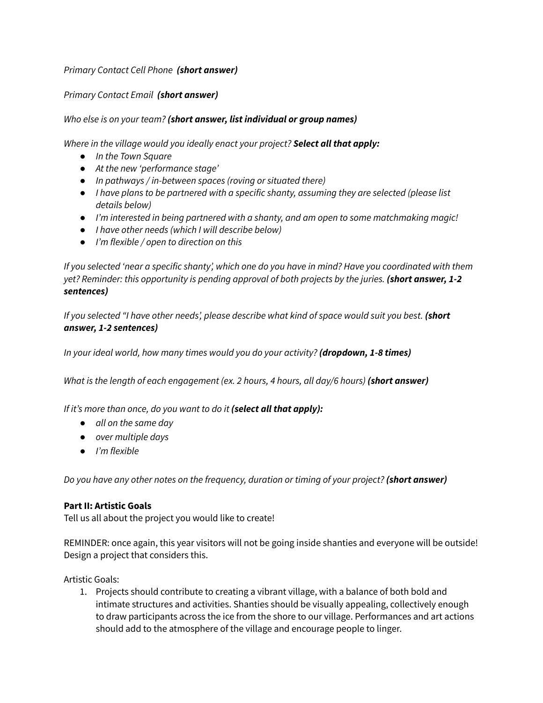# *Primary Contact Cell Phone (short answer)*

# *Primary Contact Email (short answer)*

# *Who else is on your team? (short answer, list individual or group names)*

*Where in the village would you ideally enact your project? Select all that apply:*

- *● In the Town Square*
- *● At the new 'performance stage'*
- *● In pathways / in-between spaces (roving or situated there)*
- *● I have plans to be partnered with a specific shanty, assuming they are selected (please list details below)*
- *● I'm interested in being partnered with a shanty, and am open to some matchmaking magic!*
- *● I have other needs (which I will describe below)*
- *● I'm flexible / open to direction on this*

If you selected 'near a specific shanty', which one do you have in mind? Have you coordinated with them *yet? Reminder: this opportunity is pending approval of both projects by the juries. (short answer, 1-2 sentences)*

If you selected "I have other needs, please describe what kind of space would suit you best. (short *answer, 1-2 sentences)*

*In your ideal world, how many times would you do your activity? (dropdown, 1-8 times)*

*What is the length of each engagement (ex. 2 hours, 4 hours, all day/6 hours) (short answer)*

*If it's more than once, do you want to do it (select all that apply):*

- *● all on the same day*
- *● over multiple days*
- *● I'm flexible*

*Do you have any other notes on the frequency, duration or timing of your project? (short answer)*

### **Part II: Artistic Goals**

Tell us all about the project you would like to create!

REMINDER: once again, this year visitors will not be going inside shanties and everyone will be outside! Design a project that considers this.

Artistic Goals:

1. Projects should contribute to creating a vibrant village, with a balance of both bold and intimate structures and activities. Shanties should be visually appealing, collectively enough to draw participants across the ice from the shore to our village. Performances and art actions should add to the atmosphere of the village and encourage people to linger.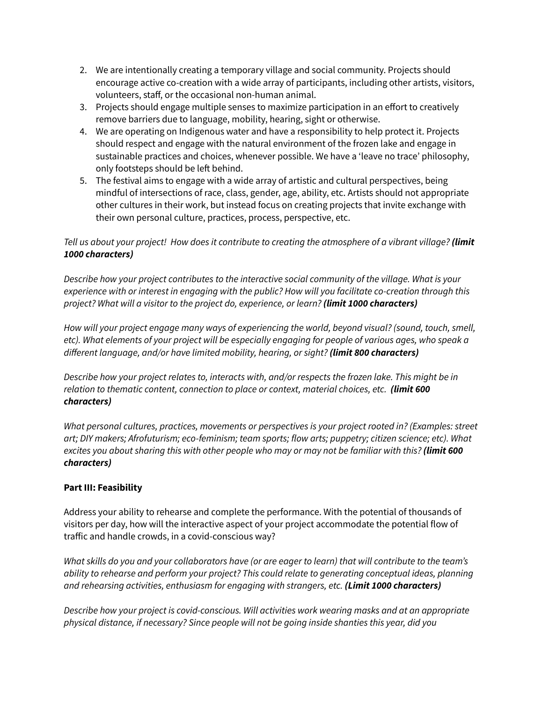- 2. We are intentionally creating a temporary village and social community. Projects should encourage active co-creation with a wide array of participants, including other artists, visitors, volunteers, staff, or the occasional non-human animal.
- 3. Projects should engage multiple senses to maximize participation in an effort to creatively remove barriers due to language, mobility, hearing, sight or otherwise.
- 4. We are operating on Indigenous water and have a responsibility to help protect it. Projects should respect and engage with the natural environment of the frozen lake and engage in sustainable practices and choices, whenever possible. We have a 'leave no trace' philosophy, only footsteps should be left behind.
- 5. The festival aims to engage with a wide array of artistic and cultural perspectives, being mindful of intersections of race, class, gender, age, ability, etc. Artists should not appropriate other cultures in their work, but instead focus on creating projects that invite exchange with their own personal culture, practices, process, perspective, etc.

# Tell us about your project! How does it contribute to creating the atmosphere of a vibrant village? (limit *1000 characters)*

*Describe how your project contributes to the interactive social community of the village. What is your experience with or interest in engaging with the public? How will you facilitate co-creation through this project? What will a visitor to the project do, experience, or learn? (limit 1000 characters)*

*How will your project engage many ways of experiencing the world, beyond visual? (sound, touch, smell,* etc). What elements of your project will be especially engaging for people of various ages, who speak a *different language, and/or have limited mobility, hearing, or sight? (limit 800 characters)*

*Describe how your project relates to, interacts with, and/or respects the frozen lake. This might be in relation to thematic content, connection to place or context, material choices, etc. (limit 600 characters)*

*What personal cultures, practices, movements or perspectives is your project rooted in? (Examples: street art; DIY makers; Afrofuturism; eco-feminism; team sports; flow arts; puppetry; citizen science; etc). What* excites you about sharing this with other people who may or may not be familiar with this? (limit 600 *characters)*

# **Part III: Feasibility**

Address your ability to rehearse and complete the performance. With the potential of thousands of visitors per day, how will the interactive aspect of your project accommodate the potential flow of traffic and handle crowds, in a covid-conscious way?

What skills do you and your collaborators have (or are eager to learn) that will contribute to the team's *ability to rehearse and perform your project? This could relate to generating conceptual ideas, planning and rehearsing activities, enthusiasm for engaging with strangers, etc. (Limit 1000 characters)*

*Describe how your project is covid-conscious. Will activities work wearing masks and at an appropriate physical distance, if necessary? Since people will not be going inside shanties this year, did you*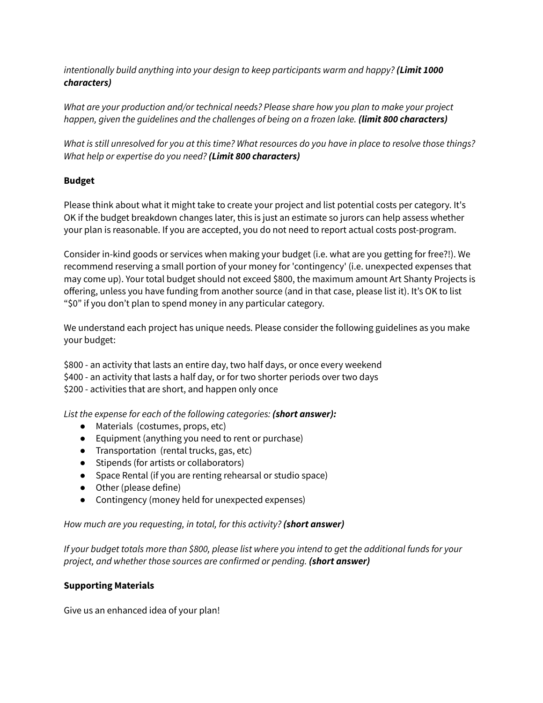*intentionally build anything into your design to keep participants warm and happy? (Limit 1000 characters)*

*What are your production and/or technical needs? Please share how you plan to make your project happen, given the guidelines and the challenges of being on a frozen lake. (limit 800 characters)*

What is still unresolved for you at this time? What resources do you have in place to resolve those things? *What help or expertise do you need? (Limit 800 characters)*

# **Budget**

Please think about what it might take to create your project and list potential costs per category. It's OK if the budget breakdown changes later, this is just an estimate so jurors can help assess whether your plan is reasonable. If you are accepted, you do not need to report actual costs post-program.

Consider in-kind goods or services when making your budget (i.e. what are you getting for free?!). We recommend reserving a small portion of your money for 'contingency' (i.e. unexpected expenses that may come up). Your total budget should not exceed \$800, the maximum amount Art Shanty Projects is offering, unless you have funding from another source (and in that case, please list it). It's OK to list "\$0" if you don't plan to spend money in any particular category.

We understand each project has unique needs. Please consider the following guidelines as you make your budget:

\$800 - an activity that lasts an entire day, two half days, or once every weekend \$400 - an activity that lasts a half day, or for two shorter periods over two days

\$200 - activities that are short, and happen only once

*List the expense for each of the following categories: (short answer):*

- Materials (costumes, props, etc)
- Equipment (anything you need to rent or purchase)
- Transportation (rental trucks, gas, etc)
- Stipends (for artists or collaborators)
- Space Rental (if you are renting rehearsal or studio space)
- Other (please define)
- Contingency (money held for unexpected expenses)

### *How much are you requesting, in total, for this activity? (short answer)*

If your budget totals more than \$800, please list where you intend to get the additional funds for your *project, and whether those sources are confirmed or pending. (short answer)*

### **Supporting Materials**

Give us an enhanced idea of your plan!